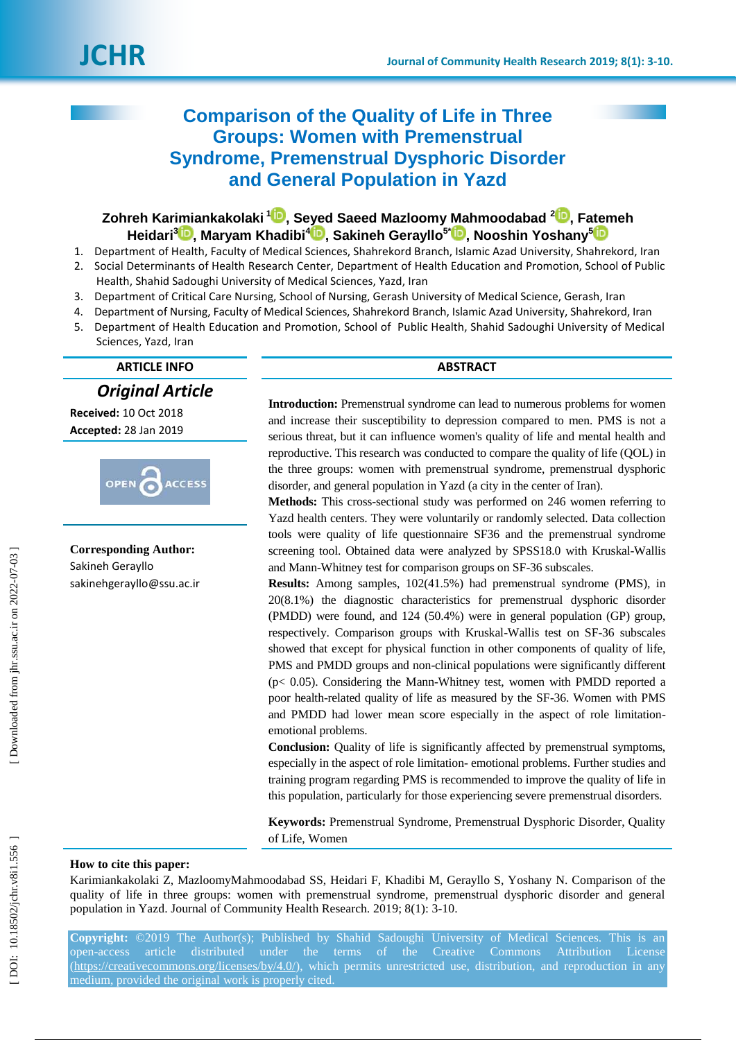# **Comparison of the Quality of Life in Three Groups: Women with Premenstrual Syndrome, Premenstrual Dysphoric Disorder and General Population in Yazd**

# $\mathsf{Zohreh}$  Karimiankakolaki  $^{\mathsf{1}\textcolor{red}{\bullet}\bullet}$ [,](https://orcid.org/0000-0002-3301-3305) Seyed Saeed Mazloomy Mahmoodabad  $^{\mathsf{2}\textcolor{red}{\bullet}\bullet}$ , Fatemeh **Heidari 3 [,](https://orcid.org/0000-0001-8880-1467) Maryam Khadibi 4 [,](https://orcid.org/0000-0002-8698-4367) Sakineh Gerayllo 5 \* [,](https://orcid.org/0000-0003-4590-2529) Nooshin Yoshany [5](https://orcid.org/0000-0003-2955-400X)**

- 1. Department of Health, Faculty of Medical Sciences, Shahrekord Branch, Islamic Azad University, Shahrekord, Iran 2. Social Determinants of Health Research Center, Department of Health Education and Promotion, School of Public Health, Shahid Sadoughi University of Medical Sciences, Yazd, Iran
- 3. Department of Critical Care Nursing, School of Nursing, Gerash University of Medical Science, Gerash, Iran
- 4. Department of Nursing, Faculty of Medical Sciences, Shahrekord Branch, Islamic Azad University, Shahrekord, Iran
- 5. Department of Health Education and Promotion, School of Public Health, Shahid Sadoughi University of Medical Sciences, Yazd, Iran

**ARTICLE INFO ABSTRACT**

*Original Article*

**Received:** 10 Oct 2018 **Accepted:** 28 Jan 201 9



**Corresponding Author:** Sakineh Gerayllo sakine[hgerayllo@ssu.ac.ir](mailto:gerayllo@ssu.ac.ir)

**Introduction:** Premenstrual syndrome can lead to numerous problems for women and increase their susceptibility to depression compared to men. PMS is not a serious threat, but it can influence women's quality of life and mental health and reproductive. This research was conducted to compare the quality of life (QOL) in the three groups: women with premenstrual syndrome, premenstrual dysphoric disorder, and general population in Yazd (a city in the center of Iran).

**Methods:** This cross -sectional study was performed on 246 women referring to Yazd health centers. They were voluntarily or randomly selected. Data collection tools were quality of life questionnaire SF36 and the premenstrual syndrome screening tool. Obtained data were analyzed by SPSS18.0 with Kruskal-Wallis and Mann -Whitney test for comparison groups on SF -36 subscales.

**Results:** Among samples, 102(41.5%) had premenstrual syndrome (PMS), in 20(8.1%) the diagnostic characteristics for premenstrual dysphoric disorder (PMDD) were found, and 124 (50.4%) were in general population (GP) group, respectively. Comparison groups with Kruskal -Wallis test on SF -36 subscales showed that except for physical function in other components of quality of life, PMS and PMDD groups and non-clinical populations were significantly different (p< 0.05). Considering the Mann -Whitney test, women with PMDD reported a poor health -related quality of life as measured by the SF -36. Women with PMS and PMDD had lower mean score especially in the aspect of role limitation emotional problems.

**Conclusion:** Quality of life is significantly affected by premenstrual symptoms, especially in the aspect of role limitation - emotional problems. Further studies and training program regarding PMS is recommended to improve the quality of life in this population, particularly for those experiencing severe premenstrual disorders.

**Keywords:** Premenstrual Syndrome, Premenstrual Dysphoric Disorder, Quality of Life, Women

#### **How to cite this paper:**

Karimiankakolaki Z, MazloomyMahmoodabad SS, Heidari F, Khadibi M, Gerayllo S, Yoshany N. Comparison of the quality of life in three groups: women with premenstrual syndrome, premenstrual dysphoric disorder and general population in Yazd. Journal of Community Health Research. 2019; 8(1): 3-10.

**Copyright:** ©2019 The Author(s); Published by Shahid Sadoughi University of Medical Sciences. This is an open-access article distributed under the terms of the Creative Commons Attribution License [\(https://creativecommons.org/licenses/by/4.0/\)](https://creativecommons.org/licenses/by/4.0/), which permits unrestricted use, distribution, and reproduction in any medium, provided the original work is properly cited.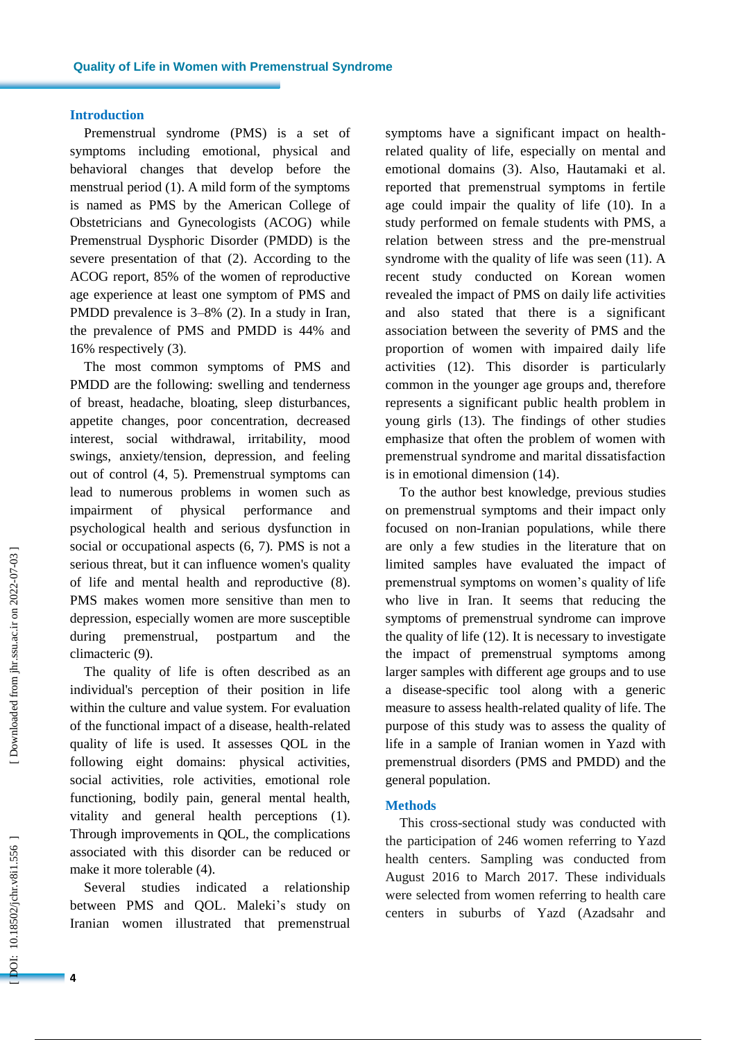#### **Introduction**

Premenstrual syndrome (PMS) is a set of symptoms including emotional, physical and behavioral changes that develop before the menstrual period ( 1 ) . A mild form of the symptoms is named as PMS by the American College of Obstetricians and Gynecologists (ACOG) while Premenstrual Dysphoric Disorder (PMDD) is the severe presentation of that ( 2 ). According to the ACOG report, 85% of the women of reproductive age experience at least one symptom of PMS and PMDD prevalence is 3–8% (2). In a study in Iran, the prevalence of PMS and PMDD is 44% and 16% respectively ( 3 ) .

The most common symptoms of PMS and PMDD are the following: swelling and tenderness of breast, headache, bloating, sleep disturbances, appetite changes, poor concentration, decreased interest, social withdrawal, irritability, mood swings, anxiety/tension, depression, and feeling out of control ( 4, 5 ) . Premenstrual symptoms can lead to numerous problems in women such as impairment of physical performance and psychological health and serious dysfunction in social or occupational aspects  $(6, 7)$ . PMS is not a serious threat, but it can influence women's quality of life and mental health and reproductive (8). PMS make s women more sensitive than men to depression, especially women are more susceptible during premenstrual, postpartum and the climacteric ( 9 ) .

The quality of life is often described as an individual's perception of their position in life within the culture and value system. For evaluation of the functional impact of a disease, health -related quality of life is used. It assesses QOL in the following eight domains: physical activities, social activities, role activities, emotional role functioning, bodily pain, general mental health, vitality and general health perceptions (1). Through improvements in QOL, the complications associated with this disorder can be reduced or make it more tolerable (4).

Several studies indicated a relationship between PMS and QOL. Maleki's study on Iranian women illustrated that premenstrual

symptoms have a significant impact on health related quality of life, especially on mental and emotional domains ( 3 ) . Also, Hautamaki et al. reported that premenstrual symptoms in fertile age could impair the quality of life (10 ) . In a study performed on female students with PMS, a relation between stress and the pre -menstrual syndrome with the quality of life was seen (11 ) . A recent study conducted on Korean women revealed the impact of PMS on daily life activities and also stated that there is a significant association between the severity of PMS and the proportion of women with impaired daily life activities (12 ) . This disorder is particularly common in the younger age groups and, therefore represents a significant public health problem in young girls (13 ) . The findings of other studies emphasize that often the problem of women with premenstrual syndrome and marital dissatisfaction is in emotional dimension (14 ) .

To the author best knowledge, previous studies on premenstrual symptoms and their impact only focused on non -Iranian populations, while there are only a few studies in the literature that on limited samples have evaluated the impact of premenstrual symptoms on women's quality of life who live in Iran. It seems that reducing the symptoms of premenstrual syndrome can improve the quality of life (12 ) . It is necessary to investigate the impact of premenstrual symptoms among larger samples with different age groups and to use a disease -specific tool along with a generic measure to assess health -related quality of life. The purpose of this study was to assess the quality of life in a sample of Iranian women in Yazd with premenstrual disorders (PMS and PMDD) and the general population .

#### **Methods**

This cross -sectional study was conducted with the participation of 246 women referring to Yazd health centers. Sampling was conducted from August 2016 to March 2017. These individuals were selected from women referring to health care centers in suburbs of Yazd (Azadsahr and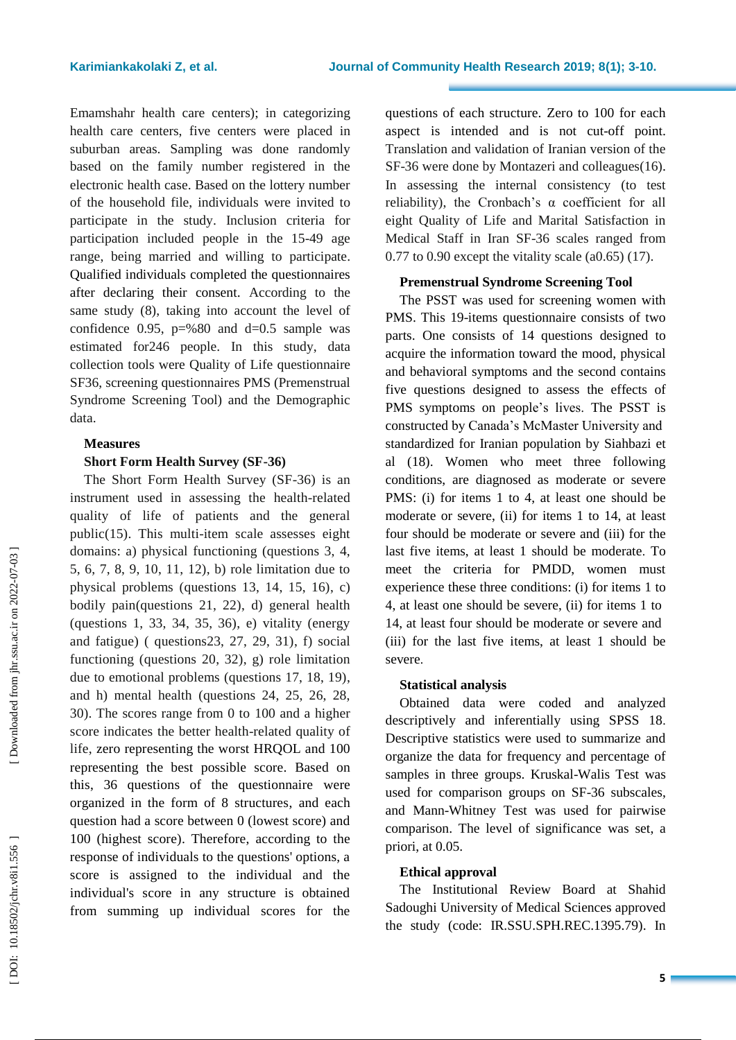Emamshahr health care centers); in categorizing health care centers, five centers were placed in suburban areas. Sampling was done randomly based on the family number registered in the electronic health case. Based on the lottery number of the household file, individuals were invited to participate in the study . Inclusion criteria for participation included people in the 15 -49 age range, being married and willing to participate. Qualified individuals completed the questionnaires after declaring their consent. According to the same study ( 8 ), taking into account the level of confidence 0.95,  $p=$  %80 and d=0.5 sample was estimated for246 people. In this study , data collection tools were Quality of Life questionnaire SF36, screening questionnaires PMS (Premenstrual Syndrome Screening Tool) and the Demographic data.

# **Measures**

# **Short Form Health Survey (SF -36)**

The Short Form Health Survey (SF -36) is an instrument used in assessing the health -related quality of life of patients and the general public (15 ). This multi -item scale assesses eight domains: a) physical functioning (questions 3, 4, 5, 6, 7, 8, 9, 10, 11, 12), b) role limitation due to physical problems (questions 13, 14, 15, 16), c) bodily pain(questions 21, 22), d) general health (questions 1, 33, 34, 35, 36), e) vitality (energy and fatigue) ( questions23, 27, 29, 31), f) social functioning (questions 20, 32), g) role limitation due to emotional problems (questions 17, 18, 19), and h) mental health (questions 24, 25, 26, 28, 30). The scores range from 0 to 100 and a higher score indicates the better health -related quality of life, zero representing the worst HRQOL and 100 representing the best possible score. Based on this, 36 questions of the questionnaire were organized in the form of 8 structures , and each question had a score between 0 (lowest score) and 100 (highest score). Therefore, according to the response of individuals to the questions' options, a score is assigned to the individual and the individual's score in any structure is obtained from summing up individual scores for the

questions of each structure. Zero to 100 for each aspect is intended and is not cut-off point. Translation and validation of Iranian version of the SF -36 were done by Montazeri and colleagues (16 ). In assessing the internal consistency (to test reliability), the Cronbach's α coefficient for all eight Quality of Life and Marital Satisfaction in Medical Staff in Iran SF -36 scales ranged from 0.77 to 0.90 except the vitality scale (a0.65) (17 ) .

# **Premenstrual Syndrome Screening Tool**

The PSST was used for screening women with PMS. This 19 -items questionnaire consists of two parts. One consists of 14 questions designed to acquire the information toward the mood, physical and behavioral symptoms and the second contains five questions designed to assess the effects of PMS symptoms on people's lives. The PSST is constructed by Canada's McMaster University and standardized for Iranian population by Siahbazi et al (18 ) . Women who meet three following conditions, are diagnosed as moderate or severe PMS: (i) for items 1 to 4, at least one should be moderate or severe, (ii) for items 1 to 14, at least four should be moderate or severe and (iii) for the last five items, at least 1 should be moderate . To meet the criteria for PMDD, women must experience these three conditions : (i) for items 1 to 4, at least one should be severe, (ii) for items 1 to 14, at least four should be moderate or severe and (iii) for the last five items, at least 1 should be severe .

# **Statistical analysis**

Obtained data were coded and analyzed descriptively and inferentially using SPSS 18 . Descriptive statistics were used to summarize and organize the data for frequency and percentage of samples in three groups. Kruskal -Walis Test was used for comparison groups on SF -36 subscales, and Mann -Whitney Test was used for pairwise comparison. The level of significance was set, a priori, at 0.05.

# **Ethical approval**

The Institutional Review Board at Shahid Sadoughi University of Medical Sciences approved the study (code: IR.SSU.SPH.REC.1395.79) . In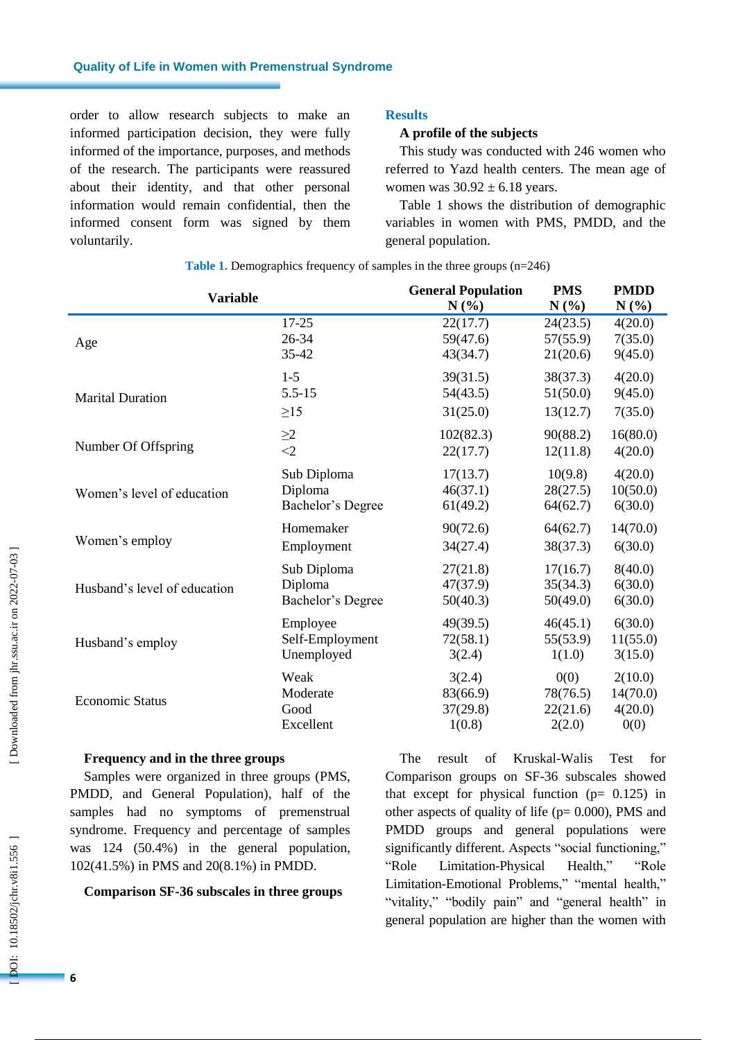order to allow research subjects to make an informed participation decision, they were fully informed of the importance, purposes , and methods of the research. The participants were reassured about their identity , and that other personal information would remain confidential , then the informed consent form was signed by them voluntarily .

# **Results**

### **A profile of the subjects**

This study was conducted with 246 women who referred to Yazd health centers. The mean age of women was  $30.92 \pm 6.18$  years.

Table 1 shows the distribution of demographic variables in women with PMS, PMDD, and the general population.

| <b>Variable</b>              | <b>General Population</b> | <b>PMS</b> | <b>PMDD</b> |          |
|------------------------------|---------------------------|------------|-------------|----------|
|                              | $N(\%)$                   | N(%)       | N(%)        |          |
| Age                          | $17 - 25$                 | 22(17.7)   | 24(23.5)    | 4(20.0)  |
|                              | 26-34                     | 59(47.6)   | 57(55.9)    | 7(35.0)  |
|                              | 35-42                     | 43(34.7)   | 21(20.6)    | 9(45.0)  |
| <b>Marital Duration</b>      | $1 - 5$                   | 39(31.5)   | 38(37.3)    | 4(20.0)  |
|                              | $5.5 - 15$                | 54(43.5)   | 51(50.0)    | 9(45.0)  |
|                              | $\geq$ 15                 | 31(25.0)   | 13(12.7)    | 7(35.0)  |
| Number Of Offspring          | $\geq$ 2                  | 102(82.3)  | 90(88.2)    | 16(80.0) |
|                              | $<$ 2                     | 22(17.7)   | 12(11.8)    | 4(20.0)  |
| Women's level of education   | Sub Diploma               | 17(13.7)   | 10(9.8)     | 4(20.0)  |
|                              | Diploma                   | 46(37.1)   | 28(27.5)    | 10(50.0) |
|                              | Bachelor's Degree         | 61(49.2)   | 64(62.7)    | 6(30.0)  |
| Women's employ               | Homemaker                 | 90(72.6)   | 64(62.7)    | 14(70.0) |
|                              | Employment                | 34(27.4)   | 38(37.3)    | 6(30.0)  |
| Husband's level of education | Sub Diploma               | 27(21.8)   | 17(16.7)    | 8(40.0)  |
|                              | Diploma                   | 47(37.9)   | 35(34.3)    | 6(30.0)  |
|                              | Bachelor's Degree         | 50(40.3)   | 50(49.0)    | 6(30.0)  |
| Husband's employ             | Employee                  | 49(39.5)   | 46(45.1)    | 6(30.0)  |
|                              | Self-Employment           | 72(58.1)   | 55(53.9)    | 11(55.0) |
|                              | Unemployed                | 3(2.4)     | 1(1.0)      | 3(15.0)  |
| <b>Economic Status</b>       | Weak                      | 3(2.4)     | 0(0)        | 2(10.0)  |
|                              | Moderate                  | 83(66.9)   | 78(76.5)    | 14(70.0) |
|                              | Good                      | 37(29.8)   | 22(21.6)    | 4(20.0)  |
|                              | Excellent                 | 1(0.8)     | 2(2.0)      | 0(0)     |

**Table 1 .** Demographics frequency of samples in the three groups (n=246)

#### **Frequency and in the three groups**

Sample s were organized in t hree groups (PMS, PMDD , and General Population), half of the samples had no symptoms of premenstrual syndrome. Frequency and percentage of samples was 124 (50.4%) in the general population, 102(41.5%) in PMS and 20(8.1%) in PMDD .

#### **Comparison SF -36 subscales in t hree groups**

The result of Kruskal -Walis Test for Comparison groups on SF -36 subscales showed that except for physical function  $(p= 0.125)$  in other aspects of quality of life ( $p= 0.000$ ), PMS and PMDD groups and general populations were significantly different. Aspects "social functioning," "Role Limitation-Physical Health," "Role Limitation -Emotional Problems," "mental health," "vitality," "bodily pain" and "general health" in general population are higher than the women with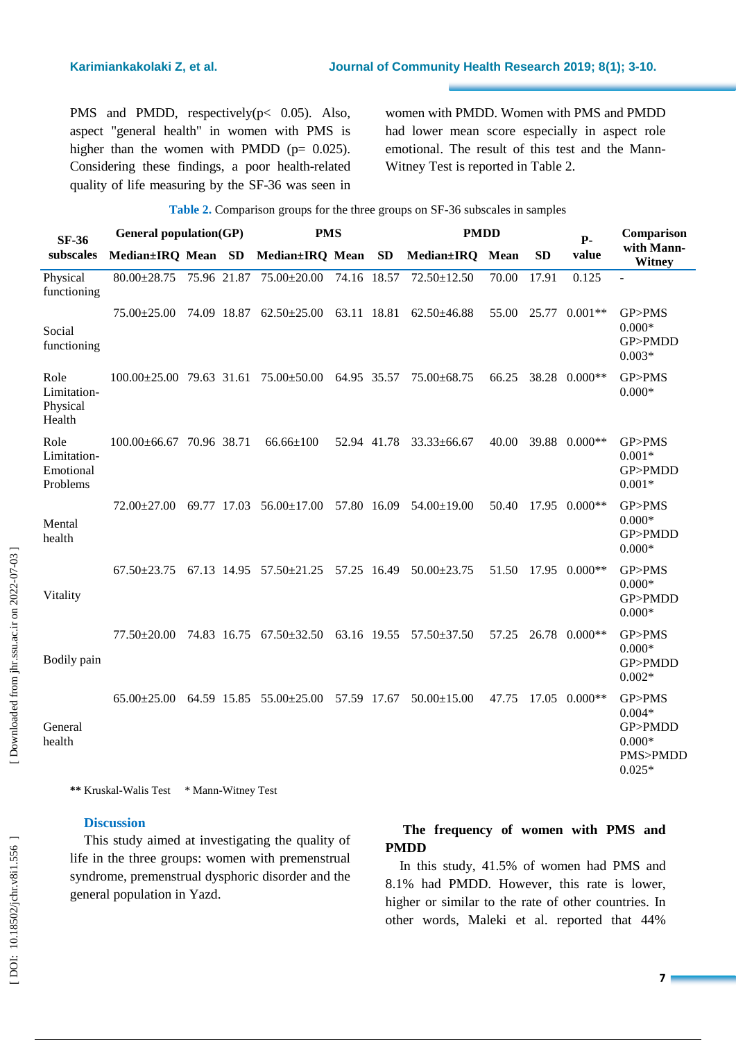PMS and PMDD, respectively (p< 0.05). Also, aspect "general health" in women with PMS is higher than the women with PMDD ( $p= 0.025$ ). Considering these findings , a poor health -related quality of life measuring by the SF -36 was seen in women with PMDD. Women with PMS and PMDD had lower mean score especially in aspect role emotional. The result of this test and the Mann - Witney Test is reported in Table 2 .

| <b>Table 2.</b> Comparison groups for the three groups on SF-36 subscales in samples |                               |  |  |                                                                                 |             |             |                           |       |           |                     |                                                                   |
|--------------------------------------------------------------------------------------|-------------------------------|--|--|---------------------------------------------------------------------------------|-------------|-------------|---------------------------|-------|-----------|---------------------|-------------------------------------------------------------------|
| <b>SF-36</b><br>subscales                                                            | General population(GP)        |  |  | <b>PMS</b>                                                                      |             | <b>PMDD</b> |                           |       | $P-$      | Comparison          |                                                                   |
|                                                                                      | Median±IRQ Mean SD            |  |  | Median±IRQ Mean SD                                                              |             |             | Median±IRQ Mean           |       | <b>SD</b> | value               | with Mann-<br><b>Witney</b>                                       |
| Physical<br>functioning                                                              |                               |  |  | 80.00 ± 28.75 75.96 21.87 75.00 ± 20.00 74.16 18.57                             |             |             | 72.50±12.50               | 70.00 | 17.91     | 0.125               |                                                                   |
| Social<br>functioning                                                                | $75.00 \pm 25.00$             |  |  | 74.09 18.87 62.50±25.00                                                         | 63.11 18.81 |             | $62.50\pm46.88$           | 55.00 | 25.77     | $0.001**$           | GP>PMS<br>$0.000*$<br>GP>PMDD<br>$0.003*$                         |
| Role<br>Limitation-<br>Physical<br>Health                                            |                               |  |  | $100.00\pm25.00$ 79.63 31.61 75.00 $\pm$ 50.00 64.95 35.57                      |             |             | 75.00±68.75               |       |           | 66.25 38.28 0.000** | GP>PMS<br>$0.000*$                                                |
| Role<br>Limitation-<br>Emotional<br>Problems                                         | $100.00\pm 66.67$ 70.96 38.71 |  |  | $66.66 \pm 100$                                                                 |             | 52.94 41.78 | $33.33 \pm 66.67$         | 40.00 |           | 39.88 0.000**       | GP>PMS<br>$0.001*$<br>GP>PMDD<br>$0.001*$                         |
| Mental<br>health                                                                     |                               |  |  | $72.00\pm27.00$ 69.77 17.03 56.00 $\pm17.00$ 57.80 16.09 54.00 $\pm19.00$       |             |             |                           |       |           | 50.40 17.95 0.000** | GP>PMS<br>$0.000*$<br>GP>PMDD<br>$0.000*$                         |
| Vitality                                                                             |                               |  |  | $67.50\pm23.75$ $67.13$ $14.95$ $57.50\pm21.25$ $57.25$ $16.49$ $50.00\pm23.75$ |             |             |                           |       |           | 51.50 17.95 0.000** | GP>PMS<br>$0.000*$<br>GP>PMDD<br>$0.000*$                         |
| Bodily pain                                                                          |                               |  |  | 77.50±20.00 74.83 16.75 67.50±32.50                                             |             |             | 63.16 19.55 57.50 ± 37.50 | 57.25 |           | 26.78 0.000**       | GP>PMS<br>$0.000*$<br>GP>PMDD<br>$0.002*$                         |
| General<br>health                                                                    |                               |  |  | 65.00 ± 25.00 64.59 15.85 55.00 ± 25.00 57.59 17.67                             |             |             | $50.00 \pm 15.00$         | 47.75 | 17.05     | $0.000**$           | GP>PMS<br>$0.004*$<br>GP>PMDD<br>$0.000*$<br>PMS>PMDD<br>$0.025*$ |

\*\* Kruskal-Walis Test \* Mann-Witney Test

### **Discussion**

This study aimed at investigating the quality of life in the t hree groups: women with premenstrual syndrome, premenstrual dysphoric disorder and the general population in Yazd.

# **The frequency of women with PMS and PMDD**

In this study , 41.5 % of women had PMS and 8.1% had PMDD . However, this rate is lower, higher or similar to the rate of other countries. In other words , Maleki et al. reported that 44%

Downloaded from jhr.ssu.ac.ir on 2022-07-03 ]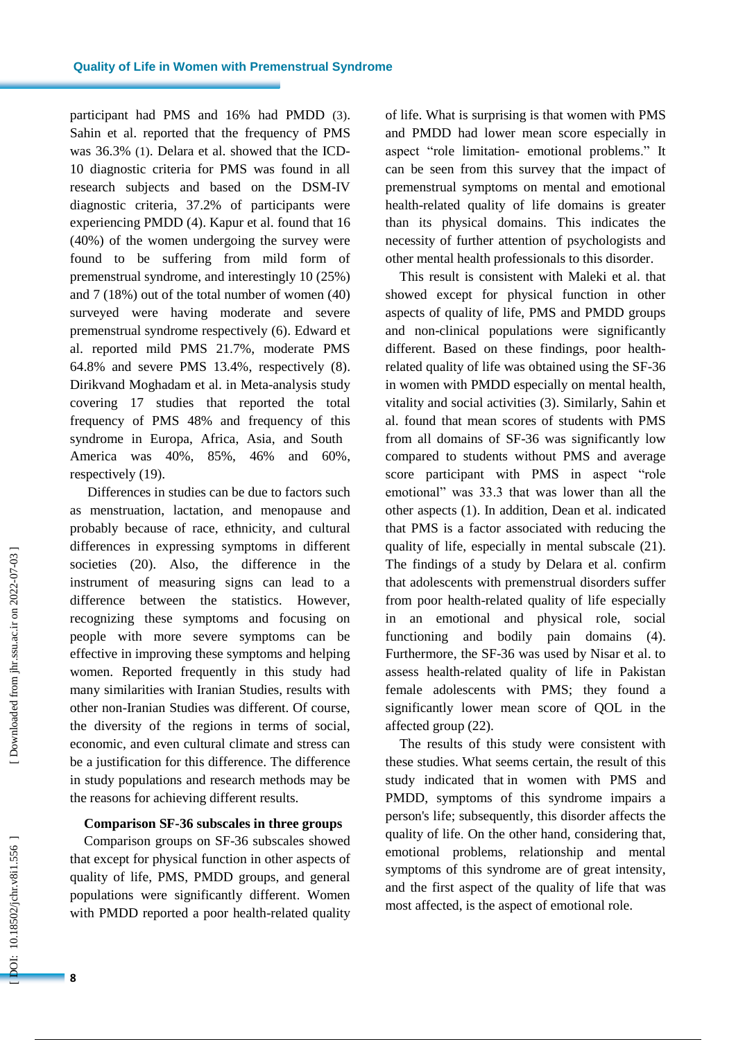participant had PMS and 16% had PMDD ( 3 ). Sahin et al. reported that the frequency of PMS was 36.3% ( 1 ). Delara et al. showed that the ICD - 10 diagnostic criteria for PMS was found in all research subjects and based on the DSM-IV diagnostic criteria, 37.2% of participants were experiencing PMDD ( 4 ). Kapur et al. found that 16 (40%) of the women undergoing the survey were found to be suffering from mild form of premenstrual syndrome , and interestingly 10 (25%) and 7 (18%) out of the total number of women (40) surveyed were having moderate and severe premenstrual syndrome respectively ( 6 ) . Edward et al. reported mild PMS 21.7%, moderate PMS 64.8% and severe PMS 13.4% , respectively ( 8 ) . Dirikvand Moghadam et al. in Meta -analysis study covering 17 studies that reported the total frequency of PMS 48% and frequency of this syndrome in Europa, Africa, Asia , and South America was 40%, 85%, 46% and 60% , respectively (19 ) .

Differences in studies can be due to factors such as menstruation, lactation , and menopause and probably because of race, ethnicity, and cultural differences in expressing symptoms in different societies (20 ). Also, the difference in the instrument of measuring signs can lead to a difference between the statistics. However, recognizing these symptoms and focusing on people with more severe symptoms can be effective in improving these symptoms and helping women. Reported frequently in this study had many similarities with Iranian Studies, results with other non -Iranian Studies was different. Of course, the diversity of the regions in terms of social, economic, and even cultural climate and stress can be a justification for this difference. The difference in study populations and research methods may be the reasons for achieving different results.

#### **Comparison SF -36 subscales in t hree groups**

Comparison groups on SF -36 subscales showed that except for physical function in other aspects of quality of life, PMS, PMDD groups, and general populations were significantly different . Women with PMDD reported a poor health -related quality of life. What is surprising is that women with PMS and PMDD had lower mean score especially in aspect "role limitation - emotional problems." It can be seen from this survey that the impact of premenstrual symptoms on mental and emotional health -related quality of life domains is greater than its physical domains. This indicates the necessity of further attention of psychologists and other mental health professionals to this disorder.

This result is consistent with Maleki et al. that showed except for physical function in other aspects of quality of life, PMS and PMDD groups and non -clinical populations were significantly different. Based on these findings, poor health related quality of life was obtained using the SF -36 in women with PMDD especially on mental health, vitality and social activities ( 3 ). Similarly, Sahin et al. found that mean scores of students with PMS from all domains of SF -36 was significantly low compared to students without PMS and average score participant with PMS in aspect "role emotional" was 33.3 that was lower than all the other aspects ( 1 ) . In addition , Dean et al. indicated that PMS is a factor associated with reducing the quality of life, especially in mental subscale (21). The findings of a study by Delara et al. confirm that adolescents with premenstrual disorders suffer from poor health -related quality of life especially in an emotional and physical role, social functioning and bodily pain domains (4). Furthermore , the SF -36 was used by Nisar et al. to assess health -related quality of life in Pakistan female adolescents with PMS ; they found a significantly lower mean score of QOL in the affected group (22 ) .

The results of this study were consistent with these studies. What seems certain , the result of this study indicated that in women with PMS and PMDD, symptoms of this syndrome impairs a person's life ; subsequently, this disorder affects the quality of life . On the other hand, considering that, emotional problems, relationship and mental symptoms of this syndrome are of great intensity, and the first aspect of the quality of life that was most affected, is the aspect of emotional role.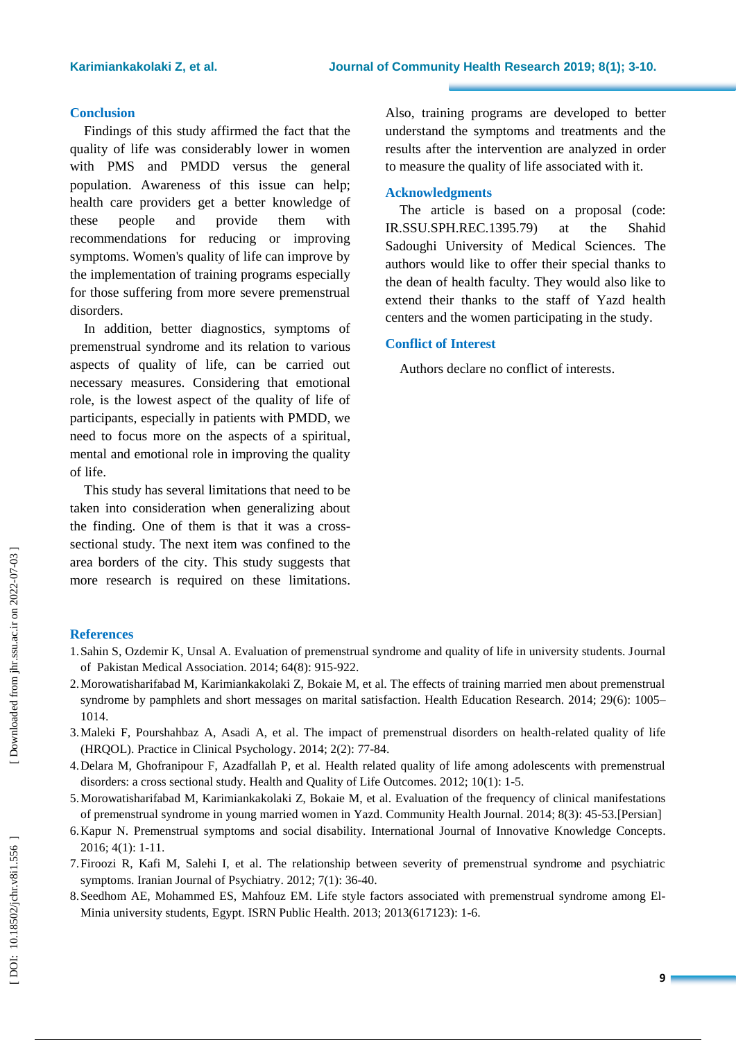#### **Conclusion**

Findings of this study affirmed the fact that the quality of life was considerably lower in women with PMS and PMDD versus the general population. Awareness of this issue can help; health care providers get a better knowledge of these people and provide them with recommendations for reducing or improving symptoms . Women's quality of life can improve by the implementation of training programs especially for those suffering from more severe premenstrual disorders.

In addition, better diagnostics, symptoms of premenstrual syndrome and its relation to various aspects of quality of life, can be carried out necessary measures. Considering that emotional role, is the lowest aspect of the quality of life of participants, especially in patients with PMDD, we need to focus more on the aspects of a spiritual, mental and emotional role in improving the quality of life.

This study has several limitations that need to be taken into consideration when generalizing about the finding. One of them is that it was a cross sectional study. The next item was confined to the area borders of the city. This study suggests that more research is required on these limitations.

Also, training programs ar e developed to better understand the symptoms and treatments and the results after the intervention are analyzed in order to measure the quality of life associated with it.

#### **Acknowledgments**

The article is based on a proposal (code: IR.SSU.SPH.REC.1395.79) at the Shahid Sadoughi University of Medical Sciences. The authors would like to offer their special thanks to the dean of health faculty. They would also like to extend their thanks to the staff of Yazd health centers and the women participating in the study.

### **Conflict of Interest**

Authors declare no conflict of interests .

# **References**

- 1.Sahin S, Ozdemir K, Unsal A. Evaluation of premenstrual syndrome and quality of life in university students. Journal of Pakistan Medical Association. 2014; 64(8): 915 -922.
- 2.Morowatisharifabad M, Karimiankakolaki Z, Bokaie M, et al. The effects of training married men about premenstrual syndrome by pamphlets and short messages on marital satisfaction. Health Education Research. 2014; 29(6): 1005-1014.
- 3.Maleki F, Pourshahbaz A, Asadi A, et al. The impact of premenstrual disorders on health -related quality of life (HRQOL). Practice in Clinical Psychology . 2014; 2(2): 77 -84.
- 4.Delara M, Ghofranipour F, Azadfallah P, et al. Health related quality of life among adolescents with premenstrual disorders: a cross sectional study. Health and Quality of Life Outcomes. 2012; 10(1): 1-5.
- 5.Morowatisharifabad M, Karimiankakolaki Z, Bokaie M, et al. Evaluation of the frequency of clinical manifestations of premenstrual syndrome in young married women in Yazd. Community Health Journal . 2014; 8(3): 45 -53.[Persian]
- 6.Kapur N. Premenstrual symptoms and social disability. International Journal of Innovative Knowledge Concepts . 2016; 4(1): 1 -11.
- 7.Firoozi R, Kafi M, Salehi I, et al. The relationship between severity of premenstrual syndrome and psychiatric symptoms. Iranian Journal of Psychiatry. 2012; 7(1): 36-40.
- 8.Seedhom AE, Mohammed ES, Mahfouz EM. Life style factors associated with premenstrual syndrome among El Minia university students, Egypt. ISRN Public Health . 2013; 2013(617123): 1 -6.